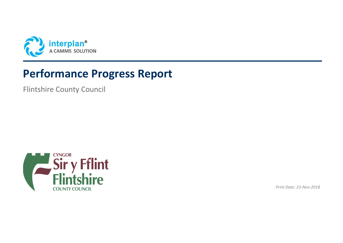

# **Performance Progress Report**

Flintshire County Council



*Print Date: 23-Nov-2018*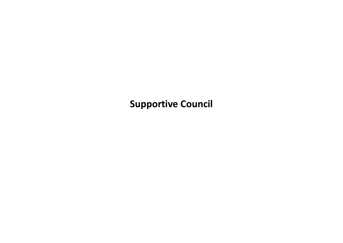**Supportive Council**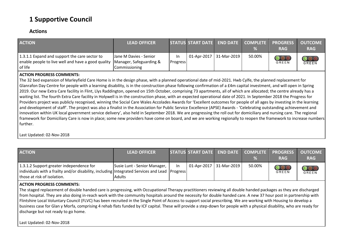## **1 Supportive Council**

#### **Actions**

| <b>ACTION</b>                                                                                                  | <b>LEAD OFFICER</b>                                                |                        | STATUS START DATE END DATE COMPLETE PROGRESS |        | <b>RAG</b> | <b>OUTCOME</b><br><b>RAG</b> |
|----------------------------------------------------------------------------------------------------------------|--------------------------------------------------------------------|------------------------|----------------------------------------------|--------|------------|------------------------------|
| 1.3.1.1 Expand and support the care sector to<br>enable people to live well and have a good quality<br>of life | Jane M Davies - Senior<br>Manager, Safeguarding &<br>Commissioning | In.<br><b>Progress</b> | 01-Apr-2017   31-Mar-2019                    | 50.00% | <b>OOO</b> | GREEN                        |

#### **ACTION PROGRESS COMMENTS:**

The 32 bed expansion of Marleyfield Care Home is in the design phase, with a planned operational date of mid-2021. Hwb Cylfe, the planned replacement for Glanrafon Day Centre for people with a learning disability, is in the construction phase following confirmation of a £4m capital investment, and will open in Spring 2019. Our new Extra Care facility in Flint, Llys Raddington, opened on 15th October, comprising 73 apartments, all of which are allocated; the centre already has a waiting list. The fourth Extra Care facility in Holywell is in the construction phase, with an expected operational date of 2021. In September 2018 the Progress for Providers project was publicly recognised, winning the Social Care Wales Accolades Awards for 'Excellent outcomes for people of all ages by investing in the learning and development of staff'. The project was also a finalist in the Association for Public Service Excellence (APSE) Awards - 'Celebrating outstanding achievement and innovation within UK local government service delivery', also held in September 2018. We are progressing the roll out for domiciliary and nursing care. The regional framework for Domiciliary Care is now in place; some new providers have come on board, and we are working regionally to reopen the framework to increase numbers further.

Last Updated: 02-Nov-2018

| <b>ACTION</b>                                                                                                                                                                    | <b>LEAD OFFICER</b>                           |     |                         |        | STATUS START DATE END DATE COMPLETE PROGRESS<br><b>RAG</b> | <b>OUTCOME</b><br><b>RAG</b> |
|----------------------------------------------------------------------------------------------------------------------------------------------------------------------------------|-----------------------------------------------|-----|-------------------------|--------|------------------------------------------------------------|------------------------------|
| 1.3.1.2 Support greater independence for<br>  individuals with a frailty and/or disability, including   Integrated Services and Lead   Progress  <br>those at risk of isolation. | Susie Lunt - Senior Manager,<br><b>Adults</b> | In. | 01-Apr-2017 31-Mar-2019 | 50.00% | GREEN                                                      | <b>OOO</b><br>GREEN          |

#### **ACTION PROGRESS COMMENTS:**

The staged replacement of double handed care is progressing, with Occupational Therapy practitioners reviewing all double handed packages as they are discharged from hospital. They are also doing in-reach work with the community hospitals around the necessity for double handed care. A new 37 hour post in partnership with Flintshire Local Voluntary Council (FLVC) has been recruited in the Single Point of Access to support social prescribing. We are working with Housing to develop a business case for Glan y Morfa, comprising 4 rehab flats funded by ICF capital. These will provide a step-down for people with a physical disability, who are ready for discharge but not ready to go home.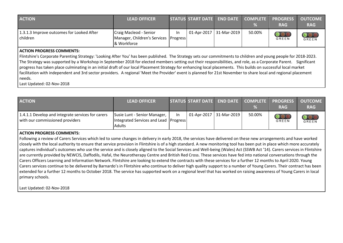| <b>ACTION</b>                                         | <b>LEAD OFFICER</b>                                                                |     | STATUS START DATE END DATE COMPLETE PROGRESS | %      | <b>RAG</b> | <b>OUTCOME</b><br><b>RAG</b>               |
|-------------------------------------------------------|------------------------------------------------------------------------------------|-----|----------------------------------------------|--------|------------|--------------------------------------------|
| 1.3.1.3 Improve outcomes for Looked After<br>children | Craig Macleod - Senior<br>Manager, Children's Services   Progress  <br>& Workforce | -In | 01-Apr-2017 31-Mar-2019                      | 50.00% | GREEN      | $\overline{\mathbf{O}}\mathbf{O}$<br>GREEN |

#### **ACTION PROGRESS COMMENTS:**

Flintshire's Corporate Parenting Strategy: 'Looking After You' has been published. The Strategy sets our commitments to children and young people for 2018-2023. The Strategy was supported by a Workshop in September 2018 for elected members setting out their responsibilities, and role, as a Corporate Parent. Significant progress has taken place culminating in an initial draft of our local Placement Strategy for enhancing local placements. This builds on successful local market facilitation with independent and 3rd sector providers. A regional 'Meet the Provider' event is planned for 21st November to share local and regional placement needs.

Last Updated: 02-Nov-2018

| <b>ACTION</b>                                                                        | <b>LEAD OFFICER</b>                                                                    |     | STATUS START DATE END DATE COMPLETE PROGRESS |                         |        | <b>RAG</b>          | <b>OUTCOME</b><br><b>RAG</b> |
|--------------------------------------------------------------------------------------|----------------------------------------------------------------------------------------|-----|----------------------------------------------|-------------------------|--------|---------------------|------------------------------|
| 1.4.1.1 Develop and integrate services for carers<br>with our commissioned providers | Susie Lunt - Senior Manager,<br>Integrated Services and Lead Progress<br><b>Adults</b> | In. |                                              | 01-Apr-2017 31-Mar-2019 | 50.00% | $\bigcirc$<br>GREEN | <b>OOO</b><br>GREEN          |

#### **ACTION PROGRESS COMMENTS:**

Following a review of Carers Services which led to some changes in delivery in early 2018, the services have delivered on these new arrangements and have worked closely with the local authority to ensure that service provision in Flintshire is of a high standard. A new monitoring tool has been put in place which more accurately captures individual's outcomes who use the service and is closely aligned to the Social Services and Well-being (Wales) Act (SSWB Act '14). Carers services in Flintshire are currently provided by NEWCIS, Daffodils, Hafal, the Neurotherapy Centre and British Red Cross. These services have fed into national conversations through the Carers Officers Learning and Information Network. Flintshire are looking to extend the contracts with these services for a further 12 months to April 2020. Young Carers services continue to be delivered by Barnardo's in Flintshire who continue to deliver high quality support to a number of Young Carers. Their contract has been extended for a further 12 months to October 2018. The service has supported work on a regional level that has worked on raising awareness of Young Carers in local primary schools.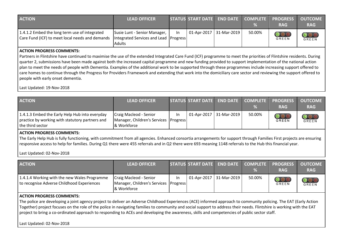| <b>ACTION</b>                                                                                    | <b>LEAD OFFICER</b>                                                             |     | STATUS START DATE END DATE COMPLETE PROGRESS | ℅      | <b>RAG</b>                 | <b>OUTCOME</b><br><b>RAG</b> |
|--------------------------------------------------------------------------------------------------|---------------------------------------------------------------------------------|-----|----------------------------------------------|--------|----------------------------|------------------------------|
| 1.4.1.2 Embed the long term use of integrated<br>Care Fund (ICF) to meet local needs and demands | Susie Lunt - Senior Manager,<br>Integrated Services and Lead Progress<br>Adults | In. | 01-Apr-2017 31-Mar-2019                      | 50.00% | $\bigcirc$<br><b>GREEN</b> | GREEN                        |

#### **ACTION PROGRESS COMMENTS:**

Partners in Flintshire have continued to maximise the use of the extended Integrated Care Fund (ICF) programme to meet the priorities of Flintshire residents. During quarter 2, submissions have been made against both the increased capital programme and new funding provided to support implementation of the national action plan to meet the needs of people with Dementia. Examples of the additional work to be supported through these programmes include increasing support offered to care homes to continue through the Progress for Providers Framework and extending that work into the domiciliary care sector and reviewing the support offered to people with early onset dementia.

Last Updated: 19-Nov-2018

| <b>ACTION</b>                                                                                                         | <b>LEAD OFFICER</b>                                                            |    | STATUS START DATE END DATE COMPLETE PROGRESS |                         |        | <b>RAG</b>                 | <b>OUTCOME</b><br><b>RAG</b>                        |
|-----------------------------------------------------------------------------------------------------------------------|--------------------------------------------------------------------------------|----|----------------------------------------------|-------------------------|--------|----------------------------|-----------------------------------------------------|
| 1.4.1.3 Embed the Early Help Hub into everyday<br>practice by working with statutory partners and<br>the third sector | Craig Macleod - Senior<br>Manager, Children's Services Progress<br>& Workforce | In |                                              | 01-Apr-2017 31-Mar-2019 | 50.00% | $\bigcirc$<br><b>GREEN</b> | $\overline{\mathcal{O}}\mathcal{O}$<br><b>GREEN</b> |

#### **ACTION PROGRESS COMMENTS:**

The Early Help Hub is fully functioning, with commitment from all agencies. Enhanced consortia arrangements for support through Families First projects are ensuring responsive access to help for families. During Q1 there were 455 referrals and in Q2 there were 693 meaning 1148 referrals to the Hub this financial year.

Last Updated: 02-Nov-2018

| <b>ACTION</b>                                                                              | <b>LEAD OFFICER</b>                                                                |     | STATUS START DATE END DATE COMPLETE PROGRESS | %      | <b>RAG</b>                 | <b>OUTCOME</b><br><b>RAG</b>     |
|--------------------------------------------------------------------------------------------|------------------------------------------------------------------------------------|-----|----------------------------------------------|--------|----------------------------|----------------------------------|
| 1.4.1.4 Working with the new Wales Programme<br>to recognise Adverse Childhood Experiences | Craig Macleod - Senior<br>Manager, Children's Services   Progress  <br>& Workforce | In. | $\vert$ 01-Apr-2017   31-Mar-2019            | 50.00% | $\bigcirc$<br><b>GREEN</b> | $\overline{\mathbf{O}}$<br>GREEN |

#### **ACTION PROGRESS COMMENTS:**

The police are developing a joint agency project to deliver an Adverse Childhood Experiences (ACE) informed approach to community policing. The EAT (Early Action Together) project focuses on the role of the police in navigating families to community and social support to address their needs. Flintshire is working with the EAT project to bring a co-ordinated approach to responding to ACEs and developing the awareness, skills and competencies of public sector staff.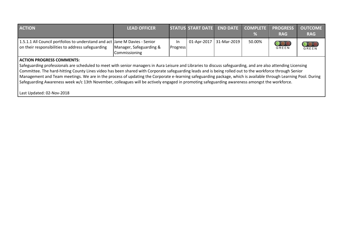| <b>ACTION</b>                                                                                                                                                                                                                                                                                                                                                                                                                                                                                                                                                                                                                                                                     | <b>LEAD OFFICER</b>                      |                 | <b>STATUS START DATE</b> | <b>END DATE</b> | <b>COMPLETE</b><br>℅ | <b>PROGRESS</b><br><b>RAG</b> | <b>OUTCOME</b><br><b>RAG</b>    |
|-----------------------------------------------------------------------------------------------------------------------------------------------------------------------------------------------------------------------------------------------------------------------------------------------------------------------------------------------------------------------------------------------------------------------------------------------------------------------------------------------------------------------------------------------------------------------------------------------------------------------------------------------------------------------------------|------------------------------------------|-----------------|--------------------------|-----------------|----------------------|-------------------------------|---------------------------------|
| 1.5.1.1 All Council portfolios to understand and act Jane M Davies - Senior<br>on their responsibilities to address safeguarding                                                                                                                                                                                                                                                                                                                                                                                                                                                                                                                                                  | Manager, Safeguarding &<br>Commissioning | In.<br>Progress | 01-Apr-2017              | 31-Mar-2019     | 50.00%               | OOC<br>GREEN                  | $\overline{\text{OO}}$<br>GREEN |
| <b>ACTION PROGRESS COMMENTS:</b><br>Safeguarding professionals are scheduled to meet with senior managers in Aura Leisure and Libraries to discuss safeguarding, and are also attending Licensing<br>Committee. The hard-hitting County Lines video has been shared with Corporate safeguarding leads and is being rolled out to the workforce through Senior<br>Management and Team meetings. We are in the process of updating the Corporate e-learning safeguarding package, which is available through Learning Pool. During<br>Safeguarding Awareness week w/c 13th November, colleagues will be actively engaged in promoting safeguarding awareness amongst the workforce. |                                          |                 |                          |                 |                      |                               |                                 |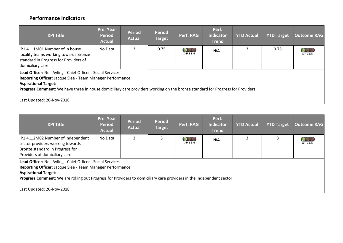### **Performance Indicators**

| <b>KPI Title</b>                                                                                                                                                                                                                                                                                                       | Pre. Year<br><b>Period</b><br><b>Actual</b> | <b>Period</b><br><b>Actual</b> | <b>Period</b><br><b>Target</b> | Perf. RAG | Perf.<br><b>Indicator</b><br><b>Trend</b> | <b>YTD Actual</b> | <b>YTD Target</b> | <b>Outcome RAG</b> |  |
|------------------------------------------------------------------------------------------------------------------------------------------------------------------------------------------------------------------------------------------------------------------------------------------------------------------------|---------------------------------------------|--------------------------------|--------------------------------|-----------|-------------------------------------------|-------------------|-------------------|--------------------|--|
| IP1.4.1.1M01 Number of in house<br>locality teams working towards Bronze<br>standard in Progress for Providers of<br>domiciliary care                                                                                                                                                                                  | No Data                                     | 3                              | 0.75                           | GREEN     | N/A                                       |                   | 0.75              | OOC<br>GREEN       |  |
| Lead Officer: Neil Ayling - Chief Officer - Social Services<br>Reporting Officer: Jacque Slee - Team Manager Performance<br><b>Aspirational Target:</b><br>Progress Comment: We have three in house domiciliary care providers working on the bronze standard for Progress for Providers.<br>Last Updated: 20-Nov-2018 |                                             |                                |                                |           |                                           |                   |                   |                    |  |

| <b>KPI Title</b>                                                                                                                           | Pre. Year<br><b>Period</b><br><b>Actual</b>                                                                                                                                                                                                     | <b>Period</b><br><b>Actual</b> | <b>Period</b><br><b>Target</b> | Perf. RAG                       | Perf.<br><b>Indicator</b><br><b>Trend</b> | <b>YTD Actual</b> | <b>YTD Target</b> | <b>Outcome RAG</b> |  |
|--------------------------------------------------------------------------------------------------------------------------------------------|-------------------------------------------------------------------------------------------------------------------------------------------------------------------------------------------------------------------------------------------------|--------------------------------|--------------------------------|---------------------------------|-------------------------------------------|-------------------|-------------------|--------------------|--|
| IP1.4.1.2M02 Number of independent<br>sector providers working towards<br>Bronze standard in Progress for<br>Providers of domiciliary care | No Data                                                                                                                                                                                                                                         | 3                              |                                | $\overline{\text{OO}}$<br>GREEN | N/A                                       |                   | 3                 | GREEN              |  |
| <b>Aspirational Target:</b><br>Last Updated: 20-Nov-2018                                                                                   | Lead Officer: Neil Ayling - Chief Officer - Social Services<br>Reporting Officer: Jacque Slee - Team Manager Performance<br>Progress Comment: We are rolling out Progress for Providers to domiciliary care providers in the independent sector |                                |                                |                                 |                                           |                   |                   |                    |  |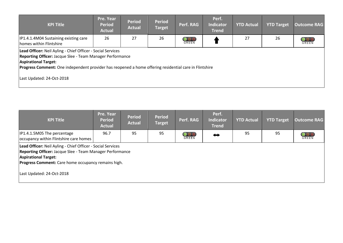| <b>KPI Title</b>                                                                                                                                                                                                                                                  | Pre. Year<br><b>Period</b><br><b>Actual</b> | <b>Period</b><br><b>Actual</b> | <b>Period</b><br><b>Target</b> | Perf. RAG                               | Perf.<br><b>Indicator</b><br><b>Trend</b> | <b>YTD Actual</b> | <b>YTD Target</b> | <b>Outcome RAG</b>  |
|-------------------------------------------------------------------------------------------------------------------------------------------------------------------------------------------------------------------------------------------------------------------|---------------------------------------------|--------------------------------|--------------------------------|-----------------------------------------|-------------------------------------------|-------------------|-------------------|---------------------|
| IP1.4.1.4M04 Sustaining existing care<br>homes within Flintshire                                                                                                                                                                                                  | 26                                          | 27                             | 26                             | $\overline{\mathbf{O}}$<br><b>GREEN</b> |                                           | 27                | 26                | $\bigcirc$<br>GREEN |
| Lead Officer: Neil Ayling - Chief Officer - Social Services<br>Reporting Officer: Jacque Slee - Team Manager Performance<br><b>Aspirational Target:</b><br>Progress Comment: One independent provider has reopened a home offering residential care in Flintshire |                                             |                                |                                |                                         |                                           |                   |                   |                     |
| Last Updated: 24-Oct-2018                                                                                                                                                                                                                                         |                                             |                                |                                |                                         |                                           |                   |                   |                     |

| <b>KPI Title</b>                                                                                                                                                                                                             | Pre. Year<br><b>Period</b><br><b>Actual</b> | <b>Period</b><br><b>Actual</b> | <b>Period</b><br><b>Target</b> | Perf. RAG | Perf.<br><b>Indicator</b><br><b>Trend</b> | <b>YTD Actual</b> | <b>YTD Target</b> | <b>Outcome RAG</b> |
|------------------------------------------------------------------------------------------------------------------------------------------------------------------------------------------------------------------------------|---------------------------------------------|--------------------------------|--------------------------------|-----------|-------------------------------------------|-------------------|-------------------|--------------------|
| IP1.4.1.5M05 The percentage<br>occupancy within Flintshire care homes                                                                                                                                                        | 96.7                                        | 95                             | 95                             | GREEN     | ⇔                                         | 95                | 95                | <b>GREEN</b>       |
| Lead Officer: Neil Ayling - Chief Officer - Social Services<br><b>Reporting Officer: Jacque Slee - Team Manager Performance</b><br><b>Aspirational Target:</b><br><b>Progress Comment:</b> Care home occupancy remains high. |                                             |                                |                                |           |                                           |                   |                   |                    |
| Last Updated: 24-Oct-2018                                                                                                                                                                                                    |                                             |                                |                                |           |                                           |                   |                   |                    |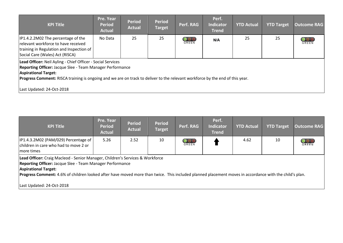| <b>KPI Title</b>                                                                                                                                                                                                                                                                                                             | Pre. Year<br><b>Period</b><br><b>Actual</b> | <b>Period</b><br><b>Actual</b> | <b>Period</b><br><b>Target</b> | Perf. RAG                  | Perf.<br><b>Indicator</b><br><b>Trend</b> | <b>YTD Actual</b> | <b>YTD Target</b> | <b>Outcome RAG</b>      |
|------------------------------------------------------------------------------------------------------------------------------------------------------------------------------------------------------------------------------------------------------------------------------------------------------------------------------|---------------------------------------------|--------------------------------|--------------------------------|----------------------------|-------------------------------------------|-------------------|-------------------|-------------------------|
| IP1.4.2.2M02 The percentage of the<br>relevant workforce to have received<br>training in Regulation and Inspection of<br>Social Care (Wales) Act (RISCA)                                                                                                                                                                     | No Data                                     | 25                             | 25                             | $\bigcirc$<br><b>GREEN</b> | N/A                                       | 25                | 25                | $\circ$<br><b>GREEN</b> |
| Lead Officer: Neil Ayling - Chief Officer - Social Services<br>Reporting Officer: Jacque Slee - Team Manager Performance<br><b>Aspirational Target:</b><br><b>Progress Comment:</b> RISCA training is ongoing and we are on track to deliver to the relevant workforce by the end of this year.<br>Last Updated: 24-Oct-2018 |                                             |                                |                                |                            |                                           |                   |                   |                         |

| <b>KPI Title</b>                                                                                                                                                                                                                                                                                                                    | Pre. Year<br><b>Period</b><br><b>Actual</b> | <b>Period</b><br><b>Actual</b> | <b>Period</b><br><b>Target</b> | Perf. RAG | Perf.<br><b>Indicator</b><br><b>Trend</b> | <b>YTD Actual</b> | <b>YTD Target</b> | <b>Outcome RAG</b>               |
|-------------------------------------------------------------------------------------------------------------------------------------------------------------------------------------------------------------------------------------------------------------------------------------------------------------------------------------|---------------------------------------------|--------------------------------|--------------------------------|-----------|-------------------------------------------|-------------------|-------------------|----------------------------------|
| IP1.4.3.2M02 (PAM/029) Percentage of  <br>children in care who had to move 2 or<br>more times                                                                                                                                                                                                                                       | $5.26$                                      | 2.52                           | 10                             | GREEN     |                                           | 4.62              | 10                | $\overline{\text{O}}$ o<br>GREEN |
| Lead Officer: Craig Macleod - Senior Manager, Children's Services & Workforce<br>Reporting Officer: Jacque Slee - Team Manager Performance<br><b>Aspirational Target:</b><br>Progress Comment: 4.6% of children looked after have moved more than twice. This included planned placement moves in accordance with the child's plan. |                                             |                                |                                |           |                                           |                   |                   |                                  |
| Last Updated: 24-Oct-2018                                                                                                                                                                                                                                                                                                           |                                             |                                |                                |           |                                           |                   |                   |                                  |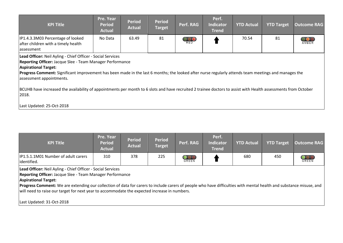| <b>KPI Title</b>                                                                                                                                                                                                                                                                                                                            | Pre. Year<br><b>Period</b><br><b>Actual</b> | <b>Period</b><br><b>Actual</b> | <b>Period</b><br><b>Target</b> | Perf. RAG                 | Perf.<br><b>Indicator</b><br><b>Trend</b> | <b>YTD Actual</b> | <b>YTD Target</b> | <b>Outcome RAG</b>  |  |
|---------------------------------------------------------------------------------------------------------------------------------------------------------------------------------------------------------------------------------------------------------------------------------------------------------------------------------------------|---------------------------------------------|--------------------------------|--------------------------------|---------------------------|-------------------------------------------|-------------------|-------------------|---------------------|--|
| IP1.4.3.3M03 Percentage of looked<br>after children with a timely health<br>assessment                                                                                                                                                                                                                                                      | No Data                                     | 63.49                          | 81                             | $\bigcirc_{\mathsf{RED}}$ |                                           | 70.54             | 81                | $\bigcirc$<br>AMBER |  |
| Lead Officer: Neil Ayling - Chief Officer - Social Services<br>Reporting Officer: Jacque Slee - Team Manager Performance<br><b>Aspirational Target:</b><br>Progress Comment: Significant improvement has been made in the last 6 months; the looked after nurse regularly attends team meetings and manages the<br>assessment appointments. |                                             |                                |                                |                           |                                           |                   |                   |                     |  |
| BCUHB have increased the availability of appointments per month to 6 slots and have recruited 2 trainee doctors to assist with Health assessments from October<br>2018.                                                                                                                                                                     |                                             |                                |                                |                           |                                           |                   |                   |                     |  |
| Last Updated: 25-Oct-2018                                                                                                                                                                                                                                                                                                                   |                                             |                                |                                |                           |                                           |                   |                   |                     |  |

| <b>KPI Title</b>                                   | Pre. Year<br>Period<br><b>Actual</b> | <b>Period</b><br><b>Actual</b> | <b>Period</b><br>Target | Perf. RAG  | Perf.<br><b>Indicator</b><br><b>Trend</b> | YTD Actual | <b>YTD Target</b> | <b>Outcome RAG</b> |
|----------------------------------------------------|--------------------------------------|--------------------------------|-------------------------|------------|-------------------------------------------|------------|-------------------|--------------------|
| IP1.5.1.1M01 Number of adult carers<br>identified. | 310                                  | 378                            | 225                     | $\rm{OOO}$ |                                           | 680        | 450               | <b>GREEN</b>       |

**Lead Officer:** Neil Ayling - Chief Officer - Social Services

**Reporting Officer:** Jacque Slee - Team Manager Performance

**Aspirational Target:** 

**Progress Comment:** We are extending our collection of data for carers to include carers of people who have difficulties with mental health and substance misuse, and will need to raise our target for next year to accommodate the expected increase in numbers.

Last Updated: 31-Oct-2018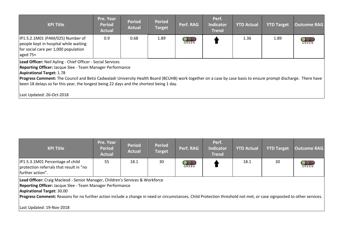| <b>KPI Title</b>                                                                                                                                                                                                                                                                                                                                                                                                                                        | Pre. Year<br><b>Period</b><br><b>Actual</b> | <b>Period</b><br><b>Actual</b> | <b>Period</b><br><b>Target</b> | Perf. RAG                              | Perf.<br><b>Indicator</b><br><b>Trend</b> | <b>YTD Actual</b> | <b>YTD Target</b> | <b>Outcome RAG</b> |
|---------------------------------------------------------------------------------------------------------------------------------------------------------------------------------------------------------------------------------------------------------------------------------------------------------------------------------------------------------------------------------------------------------------------------------------------------------|---------------------------------------------|--------------------------------|--------------------------------|----------------------------------------|-------------------------------------------|-------------------|-------------------|--------------------|
| IP1.5.2.1M01 (PAM/025) Number of<br>people kept in hospital while waiting<br>for social care per 1,000 population<br>aged 75+                                                                                                                                                                                                                                                                                                                           | 0.9                                         | 0.68                           | 1.89                           | $\overline{\text{OO}}$<br><b>GREEN</b> |                                           | 1.36              | 1.89              | GREEN              |
| Lead Officer: Neil Ayling - Chief Officer - Social Services<br>Reporting Officer: Jacque Slee - Team Manager Performance<br><b>Aspirational Target: 1.78</b><br>Progress Comment: The Council and Betsi Cadwaladr University Health Board (BCUHB) work together on a case by case basis to ensure prompt discharge. There have<br>been 18 delays so far this year, the longest being 22 days and the shortest being 1 day.<br>Last Updated: 26-Oct-2018 |                                             |                                |                                |                                        |                                           |                   |                   |                    |

| <b>KPI Title</b>                                                                                | Pre. Year<br><b>Period</b><br><b>Actual</b> | <b>Period</b><br><b>Actual</b> | <b>Period</b><br><b>Target</b> | Perf. RAG                       | Perf.<br><b>Indicator</b><br><b>Trend</b> | <b>YTD Actual</b> | <b>YTD Target</b> | <b>Outcome RAG</b> |
|-------------------------------------------------------------------------------------------------|---------------------------------------------|--------------------------------|--------------------------------|---------------------------------|-------------------------------------------|-------------------|-------------------|--------------------|
| IP1.5.3.1M01 Percentage of child<br>protection referrals that result in "no<br>further action". | 55                                          | 18.1                           | 30                             | $\overline{\text{OO}}$<br>GREEN |                                           | 18.1              | 30                | GREEN              |

**Lead Officer:** Craig Macleod - Senior Manager, Children's Services & Workforce

**Reporting Officer:** Jacque Slee - Team Manager Performance

**Aspirational Target:** 30.00

**Progress Comment:** Reasons for no further action include a change in need or circumstances, Child Protection threshold not met, or case signposted to other services.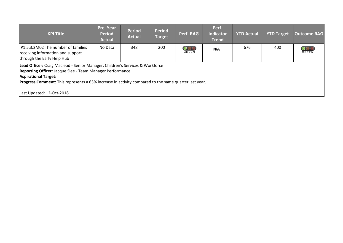| <b>KPI Title</b>                                                                                                                                                                                                                                                                  | Pre. Year<br><b>Period</b><br><b>Actual</b> | <b>Period</b><br><b>Actual</b> | <b>Period</b><br><b>Target</b> | Perf. RAG | Perf.<br><b>Indicator</b><br><b>Trend</b> | <b>YTD Actual</b> | <b>YTD Target</b> | <b>Outcome RAG</b>       |
|-----------------------------------------------------------------------------------------------------------------------------------------------------------------------------------------------------------------------------------------------------------------------------------|---------------------------------------------|--------------------------------|--------------------------------|-----------|-------------------------------------------|-------------------|-------------------|--------------------------|
| IP1.5.3.2M02 The number of families<br>receiving information and support<br>through the Early Help Hub                                                                                                                                                                            | No Data                                     | 348                            | 200                            | GREEN     | N/A                                       | 676               | 400               | $\overline{O}O$<br>GREEN |
| Lead Officer: Craig Macleod - Senior Manager, Children's Services & Workforce<br>Reporting Officer: Jacque Slee - Team Manager Performance<br><b>Aspirational Target:</b><br>Progress Comment: This represents a 63% increase in activity compared to the same quarter last year. |                                             |                                |                                |           |                                           |                   |                   |                          |
| Last Updated: 12-Oct-2018                                                                                                                                                                                                                                                         |                                             |                                |                                |           |                                           |                   |                   |                          |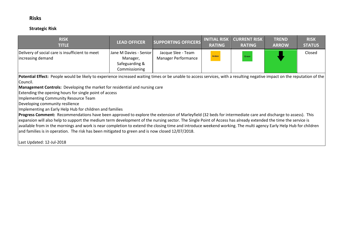#### **Risks**

#### **Strategic Risk**

| <b>RISK</b><br>TITLE                                                 | <b>LEAD OFFICER</b>                                                   | <b>SUPPORTING OFFICERS</b>                | <b>INITIAL RISK</b><br><b>RATING</b> | <b>CURRENT RISK</b><br><b>RATING</b> | <b>TREND</b><br><b>ARROW</b> | <b>RISK</b><br><b>STATUS</b> |
|----------------------------------------------------------------------|-----------------------------------------------------------------------|-------------------------------------------|--------------------------------------|--------------------------------------|------------------------------|------------------------------|
| Delivery of social care is insufficient to meet<br>increasing demand | Jane M Davies - Senior<br>Manager,<br>Safeguarding &<br>Commissioning | Jacque Slee - Team<br>Manager Performance | Amber                                | Green                                |                              | Closed                       |

Potential Effect: People would be likely to experience increased waiting times or be unable to access services, with a resulting negative impact on the reputation of the Council.

**Management Controls:** Developing the market for residential and nursing care

Extending the opening hours for single point of access

Implementing Community Resource Team

Developing community resilience

Implementing an Early Help Hub for children and families

**Progress Comment:** Recommendations have been approved to explore the extension of Marleyfield (32 beds for intermediate care and discharge to assess). This expansion will also help to support the medium term development of the nursing sector. The Single Point of Access has already extended the time the service is available from in the mornings and work is near completion to extend the closing time and introduce weekend working. The multi agency Early Help Hub for children and families is in operation. The risk has been mitigated to green and is now closed 12/07/2018.

Last Updated: 12-Jul-2018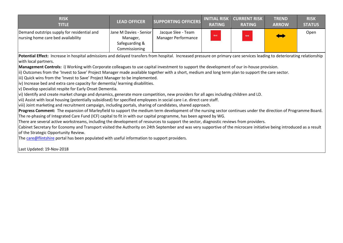| <b>RISK</b><br>TITLE                                                              | <b>LEAD OFFICER</b>                                                   | <b>SUPPORTING OFFICERS</b>                | <b>RATING</b> | <b>INITIAL RISK   CURRENT RISK  </b><br><b>RATING</b> | <b>TREND</b><br><b>ARROW</b> | <b>RISK</b><br><b>STATUS</b> |
|-----------------------------------------------------------------------------------|-----------------------------------------------------------------------|-------------------------------------------|---------------|-------------------------------------------------------|------------------------------|------------------------------|
| Demand outstrips supply for residential and<br>nursing home care bed availability | Jane M Davies - Senior<br>Manager,<br>Safeguarding &<br>Commissioning | Jacque Slee - Team<br>Manager Performance | Red           | Red                                                   |                              | Open                         |

**Potential Effect:** Increase in hospital admissions and delayed transfers from hospital. Increased pressure on primary care services leading to deteriorating relationship with local partners.

**Management Controls:** i) Working with Corporate colleagues to use capital investment to support the development of our in-house provision.

ii) Outcomes from the 'Invest to Save' Project Manager made available together with a short, medium and long term plan to support the care sector.

iii) Quick wins from the 'Invest to Save' Project Manager to be implemented.

iv) Increase bed and extra care capacity for dementia/ learning disabilities.

v) Develop specialist respite for Early Onset Dementia.

vi) Identify and create market change and dynamics, generate more competition, new providers for all ages including children and LD.

vii) Assist with local housing (potentially subsidised) for specified employees in social care i.e. direct care staff.

 $\dot{v}$ iii) Joint marketing and recruitment campaign, including portals, sharing of candidates, shared approach.

**Progress Comment:** The expansion of Marleyfield to support the medium term development of the nursing sector continues under the direction of Programme Board. The re-phasing of Integrated Care Fund (ICF) capital to fit in with our capital programme, has been agreed by WG.

There are several active workstreams, including the development of resources to support the sector, diagnostic reviews from providers.

Cabinet Secretary for Economy and Transport visited the Authority on 24th September and was very supportive of the microcare initiative being introduced as a result of the Strategic Opportunity Review.

The [care@flintshire](mailto:care@flintshire) portal has been populated with useful information to support providers.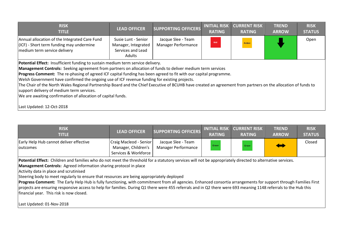| <b>RISK</b><br><b>TITLE</b>                                                                                                                                                                                                                                                                                                                                                                                                                                                                                                                                                                                                                                                                         | <b>LEAD OFFICER</b>                                                       | <b>SUPPORTING OFFICERS</b>                       | <b>INITIAL RISK</b><br><b>RATING</b> | <b>CURRENT RISK</b><br><b>RATING</b> | <b>TREND</b><br><b>ARROW</b> | <b>RISK</b><br><b>STATUS</b> |
|-----------------------------------------------------------------------------------------------------------------------------------------------------------------------------------------------------------------------------------------------------------------------------------------------------------------------------------------------------------------------------------------------------------------------------------------------------------------------------------------------------------------------------------------------------------------------------------------------------------------------------------------------------------------------------------------------------|---------------------------------------------------------------------------|--------------------------------------------------|--------------------------------------|--------------------------------------|------------------------------|------------------------------|
| Annual allocation of the Integrated Care Fund<br>(ICF) - Short term funding may undermine<br>medium term service delivery                                                                                                                                                                                                                                                                                                                                                                                                                                                                                                                                                                           | Susie Lunt - Senior<br>Manager, Integrated<br>Services and Lead<br>Adults | Jacque Slee - Team<br><b>Manager Performance</b> | Red                                  | Amber                                |                              | Open                         |
| Potential Effect: Insufficient funding to sustain medium term service delivery.<br>Management Controls: Seeking agreement from partners on allocation of funds to deliver medium term services<br>Progress Comment: The re-phasing of agreed ICF capital funding has been agreed to fit with our capital programme.<br>Welsh Government have confirmed the ongoing use of ICF revenue funding for existing projects.<br>The Chair of the North Wales Regional Partnership Board and the Chief Executive of BCUHB have created an agreement from partners on the allocation of funds to<br>support delivery of medium term services.<br>We are awaiting confirmation of allocation of capital funds. |                                                                           |                                                  |                                      |                                      |                              |                              |
| Last Updated: 12-Oct-2018                                                                                                                                                                                                                                                                                                                                                                                                                                                                                                                                                                                                                                                                           |                                                                           |                                                  |                                      |                                      |                              |                              |

| <b>RISK</b><br><b>TITLE</b>                                                                                                                                                                                                                                                                                                                                                                                                                                                                                                                                                                                                                                                                                                                                       | <b>LEAD OFFICER</b>                                                   | <b>SUPPORTING OFFICERS</b>                       | <b>INITIAL RISK</b><br><b>RATING</b> | <b>CURRENT RISK</b><br><b>RATING</b> | <b>TREND</b><br><b>ARROW</b> | <b>RISK</b><br><b>STATUS</b> |
|-------------------------------------------------------------------------------------------------------------------------------------------------------------------------------------------------------------------------------------------------------------------------------------------------------------------------------------------------------------------------------------------------------------------------------------------------------------------------------------------------------------------------------------------------------------------------------------------------------------------------------------------------------------------------------------------------------------------------------------------------------------------|-----------------------------------------------------------------------|--------------------------------------------------|--------------------------------------|--------------------------------------|------------------------------|------------------------------|
| Early Help Hub cannot deliver effective<br><b>loutcomes</b>                                                                                                                                                                                                                                                                                                                                                                                                                                                                                                                                                                                                                                                                                                       | Craig Macleod - Senior<br>Manager, Children's<br>Services & Workforce | Jacque Slee - Team<br><b>Manager Performance</b> | Green                                | Green                                |                              | Closed                       |
| Potential Effect: Children and families who do not meet the threshold for a statutory services will not be appropriately directed to alternative services.<br><b>Management Controls:</b> Agreed information sharing protocol in place<br>Activity data in place and scrutinised<br>Steering body to meet regularly to ensure that resources are being appropriately deployed<br>Progress Comment: The Early Help Hub is fully functioning, with commitment from all agencies. Enhanced consortia arrangements for support through Families First<br>projects are ensuring responsive access to help for families. During Q1 there were 455 referrals and in Q2 there were 693 meaning 1148 referrals to the Hub this<br>financial year. This risk is now closed. |                                                                       |                                                  |                                      |                                      |                              |                              |